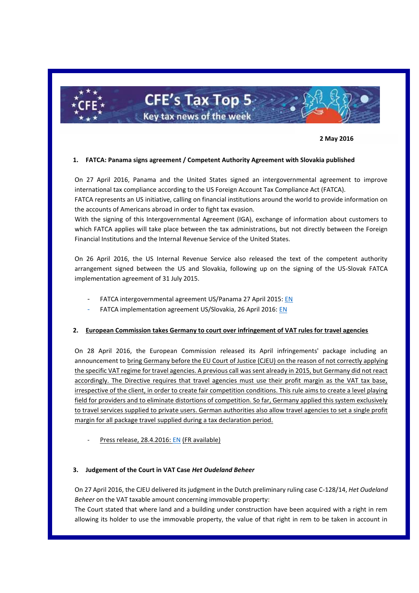

# **CFE's Tax Top 5** Key tax news of the week

**2 May 2016**

#### **1. FATCA: Panama signs agreement / Competent Authority Agreement with Slovakia published**

On 27 April 2016, Panama and the United States signed an intergovernmental agreement to improve international tax compliance according to the US Foreign Account Tax Compliance Act (FATCA).

FATCA represents an US initiative, calling on financial institutions around the world to provide information on the accounts of Americans abroad in order to fight tax evasion.

With the signing of this Intergovernmental Agreement (IGA), exchange of information about customers to which FATCA applies will take place between the tax administrations, but not directly between the Foreign Financial Institutions and the Internal Revenue Service of the United States.

On 26 April 2016, the US Internal Revenue Service also released the text of the competent authority arrangement signed between the US and Slovakia, following up on the signing of the US-Slovak FATCA implementation agreement of 31 July 2015.

- FATCA intergovernmental agreement US/Panama 27 April 2015: [EN](https://www.treasury.gov/resource-center/tax-policy/treaties/Documents/FATCA-Agreement-Panama-4-27-2016.pdf)
- FATCA implementation agreement US/Slovakia, 26 April 2016: [EN](https://www.irs.gov/pub/irs-utl/slovakrepublic_competent_authority_arrangement.pdf)

# **2. European Commission takes Germany to court over infringement of VAT rules for travel agencies**

On 28 April 2016, the European Commission released its April infringements' package including an announcement to bring Germany before the EU Court of Justice (CJEU) on the reason of not correctly applying the specific VAT regime for travel agencies. A previous call was sent already in 2015, but Germany did not react accordingly. The Directive requires that travel agencies must use their profit margin as the VAT tax base, irrespective of the client, in order to create fair competition conditions. This rule aims to create a level playing field for providers and to eliminate distortions of competition. So far, Germany applied this system exclusively to travel services supplied to private users. German authorities also allow travel agencies to set a single profit margin for all package travel supplied during a tax declaration period.

Press release, 28.4.2016[: EN](http://europa.eu/rapid/press-release_IP-16-1461_en.htm) (FR available)

#### **3. Judgement of the Court in VAT Case** *Het Oudeland Beheer*

On 27 April 2016, the CJEU delivered its judgment in the Dutch preliminary ruling case C-128/14, *Het Oudeland Beheer* on the VAT taxable amount concerning immovable property:

The Court stated that where land and a building under construction have been acquired with a right in rem allowing its holder to use the immovable property, the value of that right in rem to be taken in account in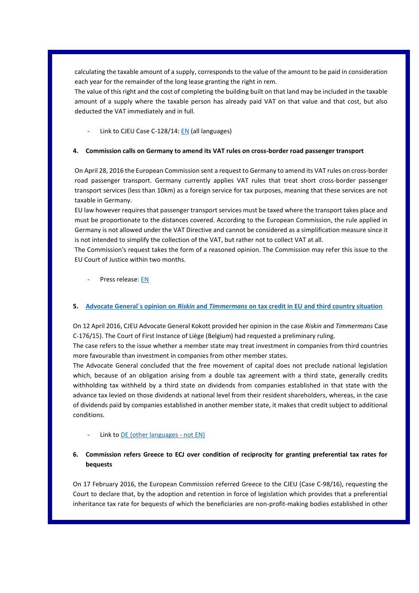calculating the taxable amount of a supply, corresponds to the value of the amount to be paid in consideration each year for the remainder of the long lease granting the right in rem.

The value of this right and the cost of completing the building built on that land may be included in the taxable amount of a supply where the taxable person has already paid VAT on that value and that cost, but also deducted the VAT immediately and in full.

Link to CJEU Case C-128/14[: EN](http://curia.europa.eu/juris/document/document.jsf?text=&docid=177350&pageIndex=0&doclang=en&mode=req&dir=&occ=first&part=1&cid=781271) (all languages)

# **4. Commission calls on Germany to amend its VAT rules on cross-border road passenger transport**

On April 28, 2016 the European Commission sent a request to Germany to amend its VAT rules on cross-border road passenger transport. Germany currently applies VAT rules that treat short cross-border passenger transport services (less than 10km) as a foreign service for tax purposes, meaning that these services are not taxable in Germany.

EU law however requires that passenger transport services must be taxed where the transport takes place and must be proportionate to the distances covered. According to the European Commission, the rule applied in Germany is not allowed under the VAT Directive and cannot be considered as a simplification measure since it is not intended to simplify the collection of the VAT, but rather not to collect VAT at all.

The Commission's request takes the form of a reasoned opinion. The Commission may refer this issue to the EU Court of Justice within two months.

Press release: [EN](http://europa.eu/rapid/press-release_MEMO-16-1452_en.htm)

# **5. Advocate General´s opinion on** *Riskin* **and** *Timmermans* **on tax credit in EU and third country situation**

On 12 April 2016, CJEU Advocate General Kokott provided her opinion in the case *Riskin* and *Timmermans* Case C-176/15). The Court of First Instance of Liège (Belgium) had requested a preliminary ruling.

The case refers to the issue whether a member state may treat investment in companies from third countries more favourable than investment in companies from other member states.

The Advocate General concluded that the free movement of capital does not preclude national legislation which, because of an obligation arising from a double tax agreement with a third state, generally credits withholding tax withheld by a third state on dividends from companies established in that state with the advance tax levied on those dividends at national level from their resident shareholders, whereas, in the case of dividends paid by companies established in another member state, it makes that credit subject to additional conditions.

Link t[o DE \(other languages -](http://curia.europa.eu/juris/document/document.jsf?text=&docid=176141&pageIndex=0&doclang=DE&mode=lst&dir=&occ=first&part=1&cid=134807) not EN)

# **6. Commission refers Greece to ECJ over condition of reciprocity for granting preferential tax rates for bequests**

On 17 February 2016, the European Commission referred Greece to the CJEU (Case C-98/16), requesting the Court to declare that, by the adoption and retention in force of legislation which provides that a preferential inheritance tax rate for bequests of which the beneficiaries are non-profit-making bodies established in other